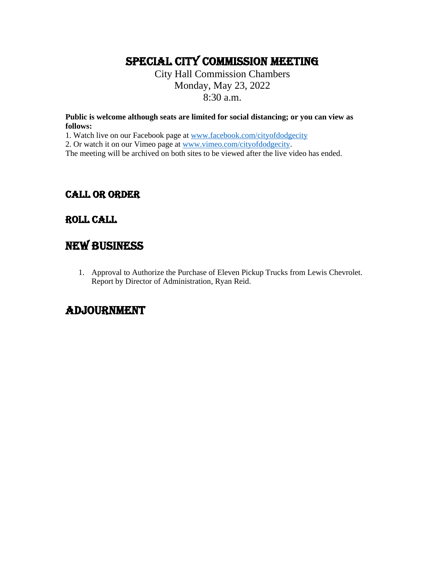# Special CITY COMMISSION meeting

### City Hall Commission Chambers Monday, May 23, 2022 8:30 a.m.

**Public is welcome although seats are limited for social distancing; or you can view as follows:**

1. Watch live on our Facebook page at [www.facebook.com/cityofdodgecity](http://www.facebook.com/cityofdodgecity)

2. Or watch it on our Vimeo page at [www.vimeo.com/cityofdodgecity.](http://www.vimeo.com/cityofdodgecity)

The meeting will be archived on both sites to be viewed after the live video has ended.

#### CALL OR ORDER

#### ROLL CALL

## NEW BUSINESS

1. Approval to Authorize the Purchase of Eleven Pickup Trucks from Lewis Chevrolet. Report by Director of Administration, Ryan Reid.

# ADJOURNMENT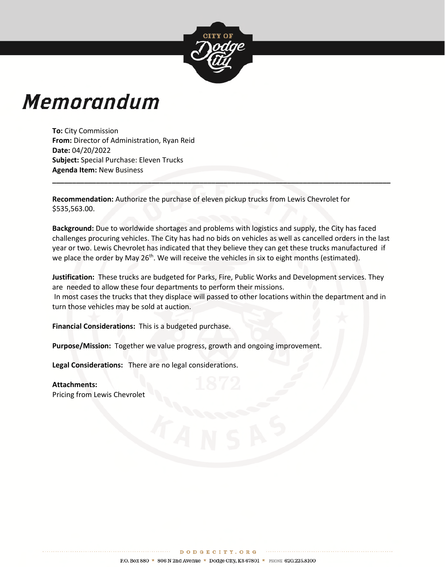

# Memorandum

**To:** City Commission **From:** Director of Administration, Ryan Reid **Date:** 04/20/2022 **Subject:** Special Purchase: Eleven Trucks **Agenda Item:** New Business

**Recommendation:** Authorize the purchase of eleven pickup trucks from Lewis Chevrolet for \$535,563.00.

**Background:** Due to worldwide shortages and problems with logistics and supply, the City has faced challenges procuring vehicles. The City has had no bids on vehicles as well as cancelled orders in the last year or two. Lewis Chevrolet has indicated that they believe they can get these trucks manufactured if we place the order by May  $26<sup>th</sup>$ . We will receive the vehicles in six to eight months (estimated).

**\_\_\_\_\_\_\_\_\_\_\_\_\_\_\_\_\_\_\_\_\_\_\_\_\_\_\_\_\_\_\_\_\_\_\_\_\_\_\_\_\_\_\_\_\_\_\_\_\_\_\_\_\_\_\_\_\_\_\_\_\_\_\_\_\_\_\_\_\_\_\_\_\_\_\_\_\_\_\_\_\_\_\_\_\_** 

**Justification:** These trucks are budgeted for Parks, Fire, Public Works and Development services. They are needed to allow these four departments to perform their missions. In most cases the trucks that they displace will passed to other locations within the department and in turn those vehicles may be sold at auction.

**Financial Considerations:** This is a budgeted purchase.

**Purpose/Mission:** Together we value progress, growth and ongoing improvement.

**Legal Considerations:** There are no legal considerations.

**Attachments:**  Pricing from Lewis Chevrolet

. . . . . . . . . . . . . . . . . .